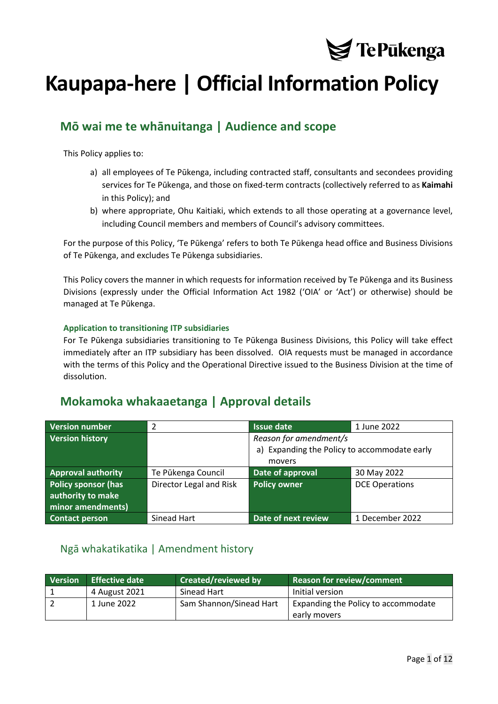

# **Kaupapa-here | Official Information Policy**

## **Mō wai me te whānuitanga | Audience and scope**

This Policy applies to:

- a) all employees of Te Pūkenga, including contracted staff, consultants and secondees providing services for Te Pūkenga, and those on fixed-term contracts (collectively referred to as **Kaimahi** in this Policy); and
- b) where appropriate, Ohu Kaitiaki, which extends to all those operating at a governance level, including Council members and members of Council's advisory committees.

For the purpose of this Policy, 'Te Pūkenga' refers to both Te Pūkenga head office and Business Divisions of Te Pūkenga, and excludes Te Pūkenga subsidiaries.

This Policy covers the manner in which requests for information received by Te Pūkenga and its Business Divisions (expressly under the Official Information Act 1982 ('OIA' or 'Act') or otherwise) should be managed at Te Pūkenga.

#### **Application to transitioning ITP subsidiaries**

For Te Pūkenga subsidiaries transitioning to Te Pūkenga Business Divisions, this Policy will take effect immediately after an ITP subsidiary has been dissolved. OIA requests must be managed in accordance with the terms of this Policy and the Operational Directive issued to the Business Division at the time of dissolution.

## **Mokamoka whakaaetanga | Approval details**

| <b>Version number</b>      | 2                       | <b>Issue date</b>                            | 1 June 2022           |
|----------------------------|-------------------------|----------------------------------------------|-----------------------|
| <b>Version history</b>     |                         | Reason for amendment/s                       |                       |
|                            |                         | a) Expanding the Policy to accommodate early |                       |
|                            |                         | movers                                       |                       |
| <b>Approval authority</b>  | Te Pūkenga Council      | Date of approval                             | 30 May 2022           |
| <b>Policy sponsor (has</b> | Director Legal and Risk | <b>Policy owner</b>                          | <b>DCE Operations</b> |
| authority to make          |                         |                                              |                       |
| minor amendments)          |                         |                                              |                       |
| <b>Contact person</b>      | Sinead Hart             | Date of next review                          | 1 December 2022       |

### <span id="page-0-0"></span>Ngā whakatikatika | Amendment history

| <b>Version</b> | <b>Effective date</b> | <b>Created/reviewed by</b> | Reason for review/comment           |
|----------------|-----------------------|----------------------------|-------------------------------------|
|                | 4 August 2021         | Sinead Hart                | Initial version                     |
|                | 1 June 2022           | Sam Shannon/Sinead Hart    | Expanding the Policy to accommodate |
|                |                       |                            | early movers                        |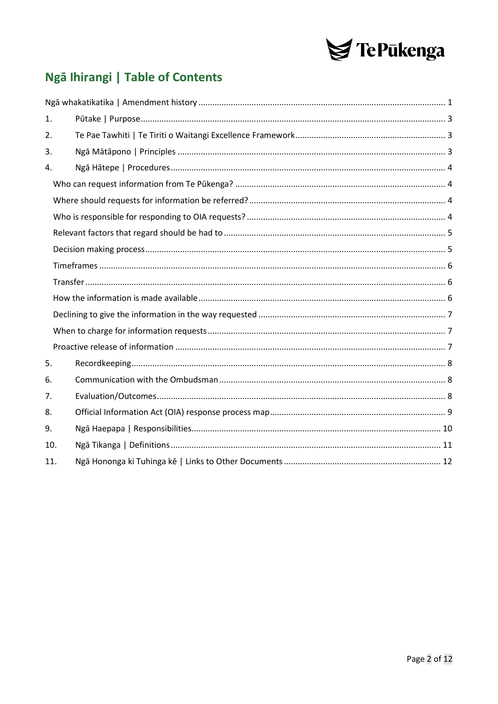

## Ngā Ihirangi | Table of Contents

| 1.  |  |
|-----|--|
| 2.  |  |
| 3.  |  |
| 4.  |  |
|     |  |
|     |  |
|     |  |
|     |  |
|     |  |
|     |  |
|     |  |
|     |  |
|     |  |
|     |  |
|     |  |
| 5.  |  |
| 6.  |  |
| 7.  |  |
| 8.  |  |
| 9.  |  |
| 10. |  |
| 11. |  |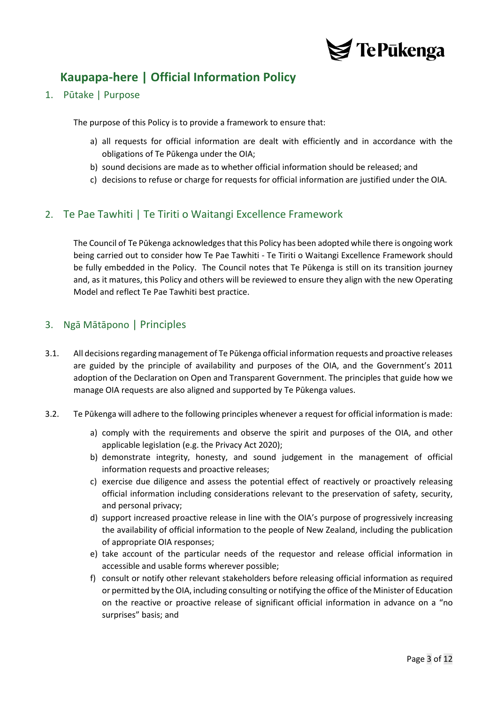

## **Kaupapa-here | Official Information Policy**

<span id="page-2-0"></span>1. Pūtake | Purpose

The purpose of this Policy is to provide a framework to ensure that:

- a) all requests for official information are dealt with efficiently and in accordance with the obligations of Te Pūkenga under the OIA;
- b) sound decisions are made as to whether official information should be released; and
- c) decisions to refuse or charge for requests for official information are justified under the OIA.

### <span id="page-2-1"></span>2. Te Pae Tawhiti | Te Tiriti o Waitangi Excellence Framework

The Council of Te Pūkenga acknowledges that this Policy has been adopted while there is ongoing work being carried out to consider how Te Pae Tawhiti - Te Tiriti o Waitangi Excellence Framework should be fully embedded in the Policy. The Council notes that Te Pūkenga is still on its transition journey and, as it matures, this Policy and others will be reviewed to ensure they align with the new Operating Model and reflect Te Pae Tawhiti best practice.

#### <span id="page-2-2"></span>3. Ngā Mātāpono | Principles

- 3.1. All decisions regarding management of Te Pūkenga official information requests and proactive releases are guided by the principle of availability and purposes of the OIA, and the Government's 2011 adoption of the Declaration on Open and Transparent Government. The principles that guide how we manage OIA requests are also aligned and supported by Te Pūkenga values.
- 3.2. Te Pūkenga will adhere to the following principles whenever a request for official information is made:
	- a) comply with the requirements and observe the spirit and purposes of the OIA, and other applicable legislation (e.g. the Privacy Act 2020);
	- b) demonstrate integrity, honesty, and sound judgement in the management of official information requests and proactive releases;
	- c) exercise due diligence and assess the potential effect of reactively or proactively releasing official information including considerations relevant to the preservation of safety, security, and personal privacy;
	- d) support increased proactive release in line with the OIA's purpose of progressively increasing the availability of official information to the people of New Zealand, including the publication of appropriate OIA responses;
	- e) take account of the particular needs of the requestor and release official information in accessible and usable forms wherever possible;
	- f) consult or notify other relevant stakeholders before releasing official information as required or permitted by the OIA, including consulting or notifying the office of the Minister of Education on the reactive or proactive release of significant official information in advance on a "no surprises" basis; and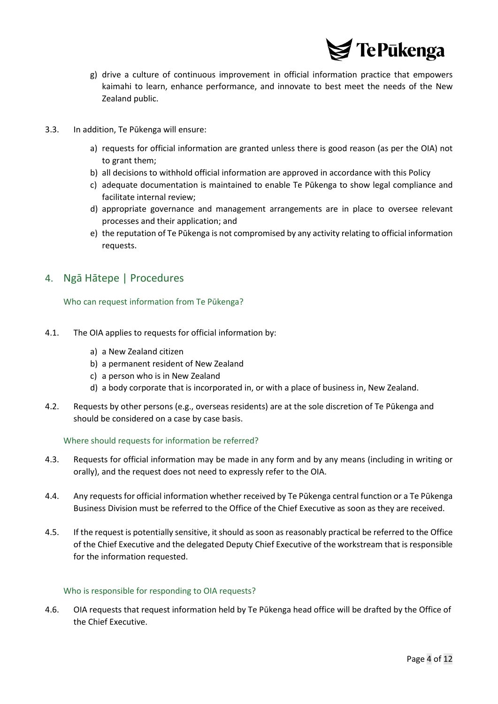

- g) drive a culture of continuous improvement in official information practice that empowers kaimahi to learn, enhance performance, and innovate to best meet the needs of the New Zealand public.
- 3.3. In addition, Te Pūkenga will ensure:
	- a) requests for official information are granted unless there is good reason (as per the OIA) not to grant them;
	- b) all decisions to withhold official information are approved in accordance with this Policy
	- c) adequate documentation is maintained to enable Te Pūkenga to show legal compliance and facilitate internal review;
	- d) appropriate governance and management arrangements are in place to oversee relevant processes and their application; and
	- e) the reputation of Te Pūkenga is not compromised by any activity relating to official information requests.

### <span id="page-3-1"></span><span id="page-3-0"></span>4. Ngā Hātepe | Procedures

Who can request information from Te Pūkenga?

- 4.1. The OIA applies to requests for official information by:
	- a) a New Zealand citizen
	- b) a permanent resident of New Zealand
	- c) a person who is in New Zealand
	- d) a body corporate that is incorporated in, or with a place of business in, New Zealand.
- 4.2. Requests by other persons (e.g., overseas residents) are at the sole discretion of Te Pūkenga and should be considered on a case by case basis.

#### <span id="page-3-2"></span>Where should requests for information be referred?

- 4.3. Requests for official information may be made in any form and by any means (including in writing or orally), and the request does not need to expressly refer to the OIA.
- 4.4. Any requests for official information whether received by Te Pūkenga central function or a Te Pūkenga Business Division must be referred to the Office of the Chief Executive as soon as they are received.
- 4.5. If the request is potentially sensitive, it should as soon as reasonably practical be referred to the Office of the Chief Executive and the delegated Deputy Chief Executive of the workstream that is responsible for the information requested.

#### <span id="page-3-3"></span>Who is responsible for responding to OIA requests?

4.6. OIA requests that request information held by Te Pūkenga head office will be drafted by the Office of the Chief Executive.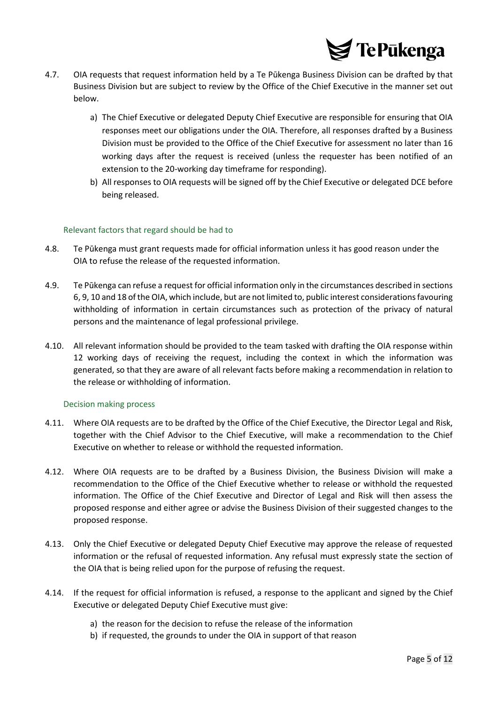

- 4.7. OIA requests that request information held by a Te Pūkenga Business Division can be drafted by that Business Division but are subject to review by the Office of the Chief Executive in the manner set out below.
	- a) The Chief Executive or delegated Deputy Chief Executive are responsible for ensuring that OIA responses meet our obligations under the OIA. Therefore, all responses drafted by a Business Division must be provided to the Office of the Chief Executive for assessment no later than 16 working days after the request is received (unless the requester has been notified of an extension to the 20-working day timeframe for responding).
	- b) All responses to OIA requests will be signed off by the Chief Executive or delegated DCE before being released.

#### <span id="page-4-0"></span>Relevant factors that regard should be had to

- 4.8. Te Pūkenga must grant requests made for official information unless it has good reason under the OIA to refuse the release of the requested information.
- 4.9. Te Pūkenga can refuse a request for official information only in the circumstances described in sections 6, 9, 10 and 18 of the OIA, which include, but are not limited to, public interest considerations favouring withholding of information in certain circumstances such as protection of the privacy of natural persons and the maintenance of legal professional privilege.
- 4.10. All relevant information should be provided to the team tasked with drafting the OIA response within 12 working days of receiving the request, including the context in which the information was generated, so that they are aware of all relevant facts before making a recommendation in relation to the release or withholding of information.

#### <span id="page-4-1"></span>Decision making process

- 4.11. Where OIA requests are to be drafted by the Office of the Chief Executive, the Director Legal and Risk, together with the Chief Advisor to the Chief Executive, will make a recommendation to the Chief Executive on whether to release or withhold the requested information.
- 4.12. Where OIA requests are to be drafted by a Business Division, the Business Division will make a recommendation to the Office of the Chief Executive whether to release or withhold the requested information. The Office of the Chief Executive and Director of Legal and Risk will then assess the proposed response and either agree or advise the Business Division of their suggested changes to the proposed response.
- 4.13. Only the Chief Executive or delegated Deputy Chief Executive may approve the release of requested information or the refusal of requested information. Any refusal must expressly state the section of the OIA that is being relied upon for the purpose of refusing the request.
- 4.14. If the request for official information is refused, a response to the applicant and signed by the Chief Executive or delegated Deputy Chief Executive must give:
	- a) the reason for the decision to refuse the release of the information
	- b) if requested, the grounds to under the OIA in support of that reason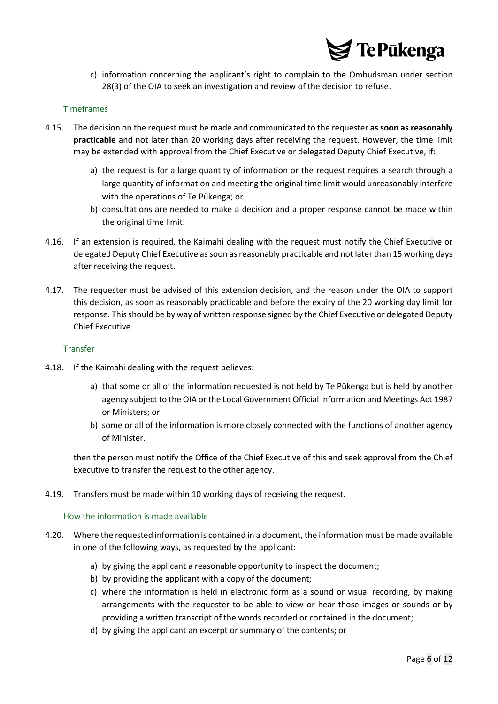

c) information concerning the applicant's right to complain to the Ombudsman under section 28(3) of the OIA to seek an investigation and review of the decision to refuse.

#### <span id="page-5-0"></span>Timeframes

- 4.15. The decision on the request must be made and communicated to the requester **as soon as reasonably practicable** and not later than 20 working days after receiving the request. However, the time limit may be extended with approval from the Chief Executive or delegated Deputy Chief Executive, if:
	- a) the request is for a large quantity of information or the request requires a search through a large quantity of information and meeting the original time limit would unreasonably interfere with the operations of Te Pūkenga; or
	- b) consultations are needed to make a decision and a proper response cannot be made within the original time limit.
- 4.16. If an extension is required, the Kaimahi dealing with the request must notify the Chief Executive or delegated Deputy Chief Executive as soon as reasonably practicable and not later than 15 working days after receiving the request.
- 4.17. The requester must be advised of this extension decision, and the reason under the OIA to support this decision, as soon as reasonably practicable and before the expiry of the 20 working day limit for response. This should be by way of written response signed by the Chief Executive or delegated Deputy Chief Executive.

#### <span id="page-5-1"></span>Transfer

- 4.18. If the Kaimahi dealing with the request believes:
	- a) that some or all of the information requested is not held by Te Pūkenga but is held by another agency subject to the OIA or the Local Government Official Information and Meetings Act 1987 or Ministers; or
	- b) some or all of the information is more closely connected with the functions of another agency of Minister.

then the person must notify the Office of the Chief Executive of this and seek approval from the Chief Executive to transfer the request to the other agency.

<span id="page-5-2"></span>4.19. Transfers must be made within 10 working days of receiving the request.

#### How the information is made available

- 4.20. Where the requested information is contained in a document, the information must be made available in one of the following ways, as requested by the applicant:
	- a) by giving the applicant a reasonable opportunity to inspect the document;
	- b) by providing the applicant with a copy of the document;
	- c) where the information is held in electronic form as a sound or visual recording, by making arrangements with the requester to be able to view or hear those images or sounds or by providing a written transcript of the words recorded or contained in the document;
	- d) by giving the applicant an excerpt or summary of the contents; or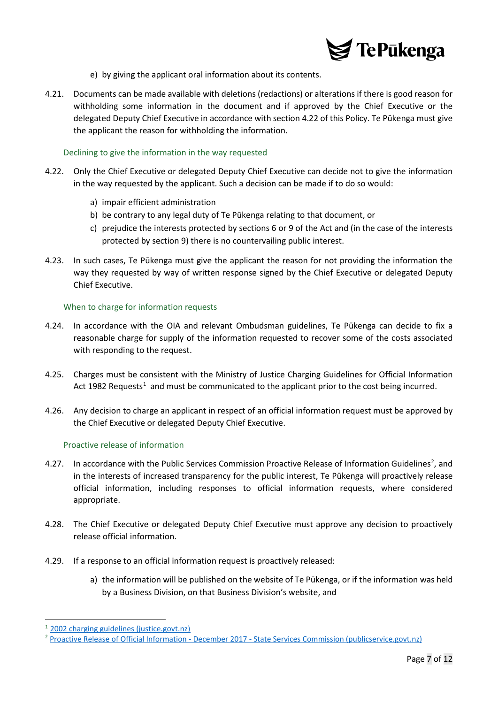

- e) by giving the applicant oral information about its contents.
- 4.21. Documents can be made available with deletions (redactions) or alterations if there is good reason for withholding some information in the document and if approved by the Chief Executive or the delegated Deputy Chief Executive in accordance with section 4.22 of this Policy. Te Pūkenga must give the applicant the reason for withholding the information.

#### <span id="page-6-0"></span>Declining to give the information in the way requested

- 4.22. Only the Chief Executive or delegated Deputy Chief Executive can decide not to give the information in the way requested by the applicant. Such a decision can be made if to do so would:
	- a) impair efficient administration
	- b) be contrary to any legal duty of Te Pūkenga relating to that document, or
	- c) prejudice the interests protected by sections 6 or 9 of the Act and (in the case of the interests protected by section 9) there is no countervailing public interest.
- 4.23. In such cases, Te Pūkenga must give the applicant the reason for not providing the information the way they requested by way of written response signed by the Chief Executive or delegated Deputy Chief Executive.

#### <span id="page-6-1"></span>When to charge for information requests

- 4.24. In accordance with the OIA and relevant Ombudsman guidelines, Te Pūkenga can decide to fix a reasonable charge for supply of the information requested to recover some of the costs associated with responding to the request.
- 4.25. Charges must be consistent with the Ministry of Justice Charging Guidelines for Official Information Act [1](#page-6-3)982 Requests<sup>1</sup> and must be communicated to the applicant prior to the cost being incurred.
- 4.26. Any decision to charge an applicant in respect of an official information request must be approved by the Chief Executive or delegated Deputy Chief Executive.

#### <span id="page-6-2"></span>Proactive release of information

- 4.[2](#page-6-4)7. In accordance with the Public Services Commission Proactive Release of Information Guidelines<sup>2</sup>, and in the interests of increased transparency for the public interest, Te Pūkenga will proactively release official information, including responses to official information requests, where considered appropriate.
- 4.28. The Chief Executive or delegated Deputy Chief Executive must approve any decision to proactively release official information.
- 4.29. If a response to an official information request is proactively released:
	- a) the information will be published on the website of Te Pūkenga, or if the information was held by a Business Division, on that Business Division's website, and

<span id="page-6-3"></span><sup>1</sup> [2002 charging guidelines \(justice.govt.nz\)](https://www.justice.govt.nz/assets/Documents/Publications/1982-Official-Information-Act-charging-guidelines.pdf)

<span id="page-6-4"></span><sup>2</sup> Proactive Release of Official Information - December 2017 - [State Services Commission \(publicservice.govt.nz\)](https://www.publicservice.govt.nz/assets/Legacy/resources/oia-proactive-release-dec2017.pdf)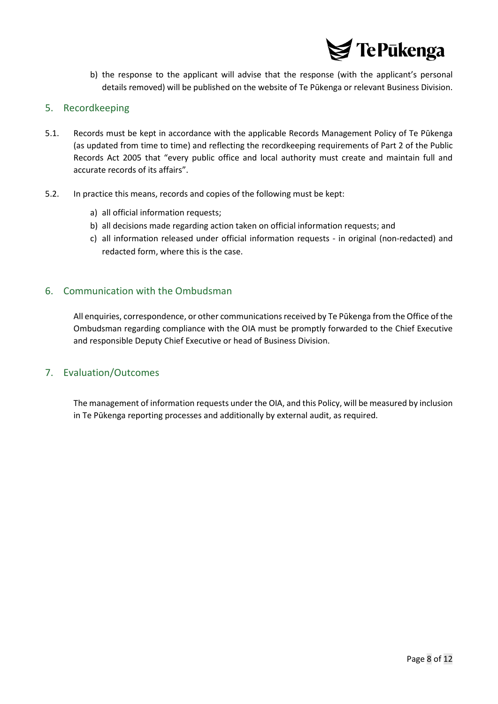

b) the response to the applicant will advise that the response (with the applicant's personal details removed) will be published on the website of Te Pūkenga or relevant Business Division.

#### <span id="page-7-0"></span>5. Recordkeeping

- 5.1. Records must be kept in accordance with the applicable Records Management Policy of Te Pūkenga (as updated from time to time) and reflecting the recordkeeping requirements of Part 2 of the Public Records Act 2005 that "every public office and local authority must create and maintain full and accurate records of its affairs".
- 5.2. In practice this means, records and copies of the following must be kept:
	- a) all official information requests;
	- b) all decisions made regarding action taken on official information requests; and
	- c) all information released under official information requests in original (non-redacted) and redacted form, where this is the case.

#### <span id="page-7-1"></span>6. Communication with the Ombudsman

All enquiries, correspondence, or other communications received by Te Pūkenga from the Office of the Ombudsman regarding compliance with the OIA must be promptly forwarded to the Chief Executive and responsible Deputy Chief Executive or head of Business Division.

#### <span id="page-7-2"></span>7. Evaluation/Outcomes

The management of information requests under the OIA, and this Policy, will be measured by inclusion in Te Pūkenga reporting processes and additionally by external audit, as required.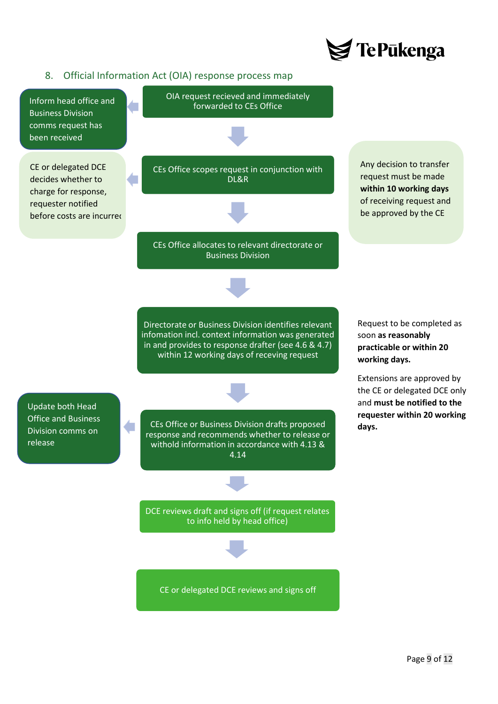

#### <span id="page-8-0"></span>8. Official Information Act (OIA) response process map

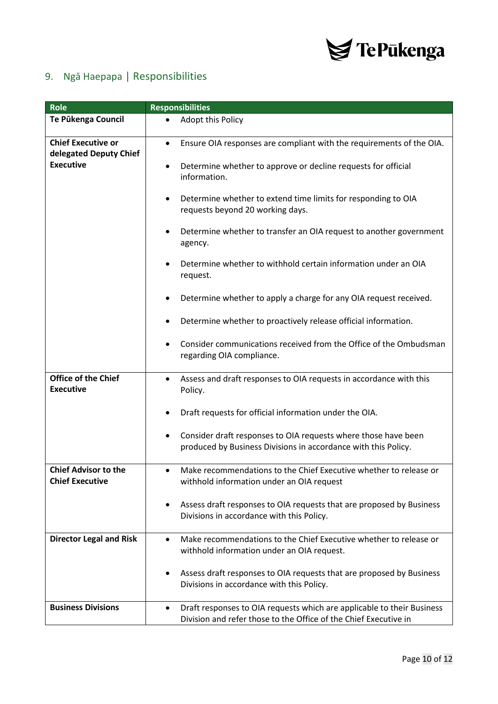

## <span id="page-9-0"></span>9. Ngā Haepapa | Responsibilities

| <b>Role</b>                                                             | <b>Responsibilities</b>                                                                                                                                 |
|-------------------------------------------------------------------------|---------------------------------------------------------------------------------------------------------------------------------------------------------|
| Te Pükenga Council                                                      | Adopt this Policy<br>$\bullet$                                                                                                                          |
| <b>Chief Executive or</b><br>delegated Deputy Chief<br><b>Executive</b> | Ensure OIA responses are compliant with the requirements of the OIA.<br>$\bullet$                                                                       |
|                                                                         | Determine whether to approve or decline requests for official<br>٠<br>information.                                                                      |
|                                                                         | Determine whether to extend time limits for responding to OIA<br>$\bullet$<br>requests beyond 20 working days.                                          |
|                                                                         | Determine whether to transfer an OIA request to another government<br>٠<br>agency.                                                                      |
|                                                                         | Determine whether to withhold certain information under an OIA<br>$\bullet$<br>request.                                                                 |
|                                                                         | Determine whether to apply a charge for any OIA request received.<br>٠                                                                                  |
|                                                                         | Determine whether to proactively release official information.<br>٠                                                                                     |
|                                                                         | Consider communications received from the Office of the Ombudsman<br>$\bullet$<br>regarding OIA compliance.                                             |
| <b>Office of the Chief</b><br><b>Executive</b>                          | Assess and draft responses to OIA requests in accordance with this<br>$\bullet$<br>Policy.                                                              |
|                                                                         | Draft requests for official information under the OIA.<br>$\bullet$                                                                                     |
|                                                                         | Consider draft responses to OIA requests where those have been<br>٠<br>produced by Business Divisions in accordance with this Policy.                   |
| <b>Chief Advisor to the</b><br><b>Chief Executive</b>                   | Make recommendations to the Chief Executive whether to release or<br>$\bullet$<br>withhold information under an OIA request                             |
|                                                                         | Assess draft responses to OIA requests that are proposed by Business<br>٠<br>Divisions in accordance with this Policy.                                  |
| <b>Director Legal and Risk</b>                                          | Make recommendations to the Chief Executive whether to release or<br>$\bullet$<br>withhold information under an OIA request.                            |
|                                                                         | Assess draft responses to OIA requests that are proposed by Business<br>٠<br>Divisions in accordance with this Policy.                                  |
| <b>Business Divisions</b>                                               | Draft responses to OIA requests which are applicable to their Business<br>$\bullet$<br>Division and refer those to the Office of the Chief Executive in |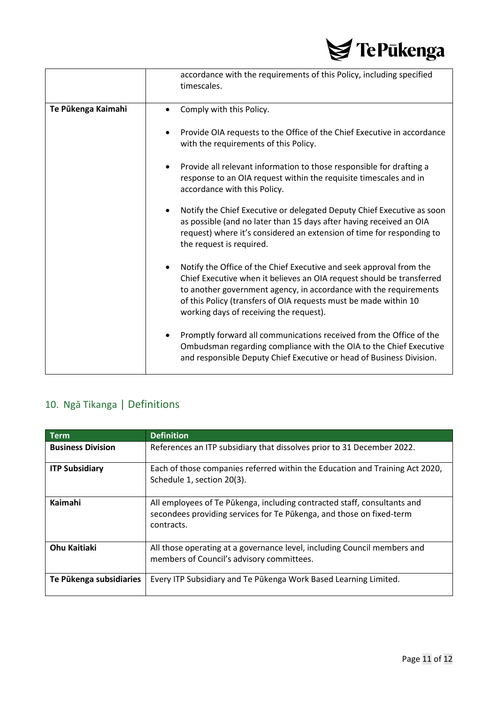

|                    | accordance with the requirements of this Policy, including specified<br>timescales.                                                                                                                                                                                                                                                           |
|--------------------|-----------------------------------------------------------------------------------------------------------------------------------------------------------------------------------------------------------------------------------------------------------------------------------------------------------------------------------------------|
| Te Pükenga Kaimahi | Comply with this Policy.<br>$\bullet$                                                                                                                                                                                                                                                                                                         |
|                    | Provide OIA requests to the Office of the Chief Executive in accordance<br>with the requirements of this Policy.                                                                                                                                                                                                                              |
|                    | Provide all relevant information to those responsible for drafting a<br>٠<br>response to an OIA request within the requisite timescales and in<br>accordance with this Policy.                                                                                                                                                                |
|                    | Notify the Chief Executive or delegated Deputy Chief Executive as soon<br>$\bullet$<br>as possible (and no later than 15 days after having received an OIA<br>request) where it's considered an extension of time for responding to<br>the request is required.                                                                               |
|                    | Notify the Office of the Chief Executive and seek approval from the<br>$\bullet$<br>Chief Executive when it believes an OIA request should be transferred<br>to another government agency, in accordance with the requirements<br>of this Policy (transfers of OIA requests must be made within 10<br>working days of receiving the request). |
|                    | Promptly forward all communications received from the Office of the<br>$\bullet$<br>Ombudsman regarding compliance with the OIA to the Chief Executive<br>and responsible Deputy Chief Executive or head of Business Division.                                                                                                                |

## <span id="page-10-0"></span>10. Ngā Tikanga | Definitions

| <b>Term</b>              | <b>Definition</b>                                                                                                                                              |
|--------------------------|----------------------------------------------------------------------------------------------------------------------------------------------------------------|
| <b>Business Division</b> | References an ITP subsidiary that dissolves prior to 31 December 2022.                                                                                         |
| <b>ITP Subsidiary</b>    | Each of those companies referred within the Education and Training Act 2020,<br>Schedule 1, section 20(3).                                                     |
| Kaimahi                  | All employees of Te Pūkenga, including contracted staff, consultants and<br>secondees providing services for Te Pūkenga, and those on fixed-term<br>contracts. |
| <b>Ohu Kaitiaki</b>      | All those operating at a governance level, including Council members and<br>members of Council's advisory committees.                                          |
| Te Pūkenga subsidiaries  | Every ITP Subsidiary and Te Pūkenga Work Based Learning Limited.                                                                                               |